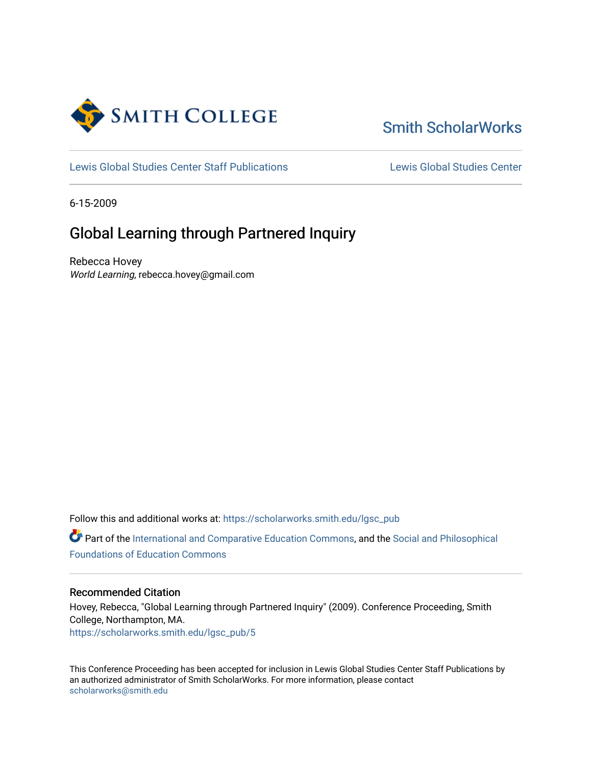

# [Smith ScholarWorks](https://scholarworks.smith.edu/)

[Lewis Global Studies Center Staff Publications](https://scholarworks.smith.edu/lgsc_pub) [Lewis Global Studies Center](https://scholarworks.smith.edu/lewisglobalstudiescenter) 

6-15-2009

# Global Learning through Partnered Inquiry

Rebecca Hovey World Learning, rebecca.hovey@gmail.com

Follow this and additional works at: [https://scholarworks.smith.edu/lgsc\\_pub](https://scholarworks.smith.edu/lgsc_pub?utm_source=scholarworks.smith.edu%2Flgsc_pub%2F5&utm_medium=PDF&utm_campaign=PDFCoverPages) 

Part of the [International and Comparative Education Commons,](http://network.bepress.com/hgg/discipline/797?utm_source=scholarworks.smith.edu%2Flgsc_pub%2F5&utm_medium=PDF&utm_campaign=PDFCoverPages) and the [Social and Philosophical](http://network.bepress.com/hgg/discipline/799?utm_source=scholarworks.smith.edu%2Flgsc_pub%2F5&utm_medium=PDF&utm_campaign=PDFCoverPages) [Foundations of Education Commons](http://network.bepress.com/hgg/discipline/799?utm_source=scholarworks.smith.edu%2Flgsc_pub%2F5&utm_medium=PDF&utm_campaign=PDFCoverPages)

#### Recommended Citation

Hovey, Rebecca, "Global Learning through Partnered Inquiry" (2009). Conference Proceeding, Smith College, Northampton, MA. [https://scholarworks.smith.edu/lgsc\\_pub/5](https://scholarworks.smith.edu/lgsc_pub/5?utm_source=scholarworks.smith.edu%2Flgsc_pub%2F5&utm_medium=PDF&utm_campaign=PDFCoverPages) 

This Conference Proceeding has been accepted for inclusion in Lewis Global Studies Center Staff Publications by an authorized administrator of Smith ScholarWorks. For more information, please contact [scholarworks@smith.edu](mailto:scholarworks@smith.edu)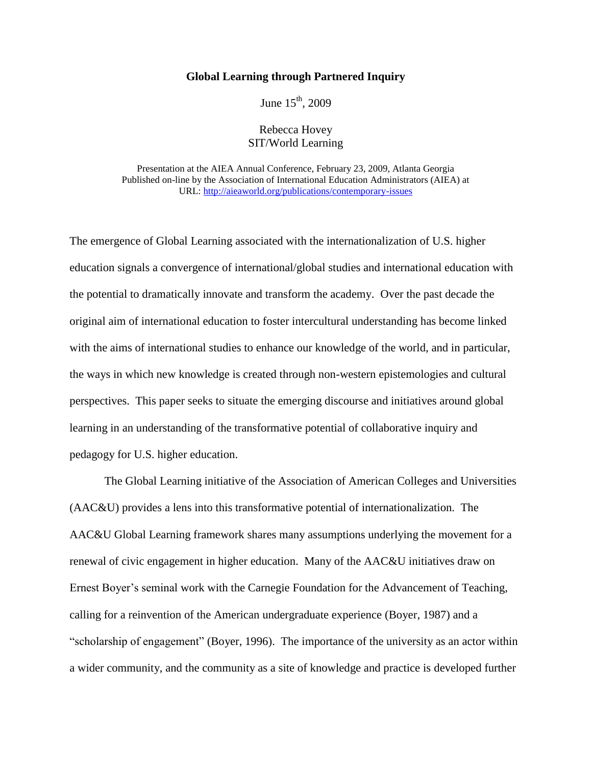### **Global Learning through Partnered Inquiry**

June  $15^{th}$ , 2009

Rebecca Hovey SIT/World Learning

Presentation at the AIEA Annual Conference, February 23, 2009, Atlanta Georgia Published on-line by the Association of International Education Administrators (AIEA) at URL:<http://aieaworld.org/publications/contemporary-issues>

The emergence of Global Learning associated with the internationalization of U.S. higher education signals a convergence of international/global studies and international education with the potential to dramatically innovate and transform the academy. Over the past decade the original aim of international education to foster intercultural understanding has become linked with the aims of international studies to enhance our knowledge of the world, and in particular, the ways in which new knowledge is created through non-western epistemologies and cultural perspectives. This paper seeks to situate the emerging discourse and initiatives around global learning in an understanding of the transformative potential of collaborative inquiry and pedagogy for U.S. higher education.

The Global Learning initiative of the Association of American Colleges and Universities (AAC&U) provides a lens into this transformative potential of internationalization. The AAC&U Global Learning framework shares many assumptions underlying the movement for a renewal of civic engagement in higher education. Many of the AAC&U initiatives draw on Ernest Boyer's seminal work with the Carnegie Foundation for the Advancement of Teaching, calling for a reinvention of the American undergraduate experience (Boyer, 1987) and a "scholarship of engagement" (Boyer, 1996). The importance of the university as an actor within a wider community, and the community as a site of knowledge and practice is developed further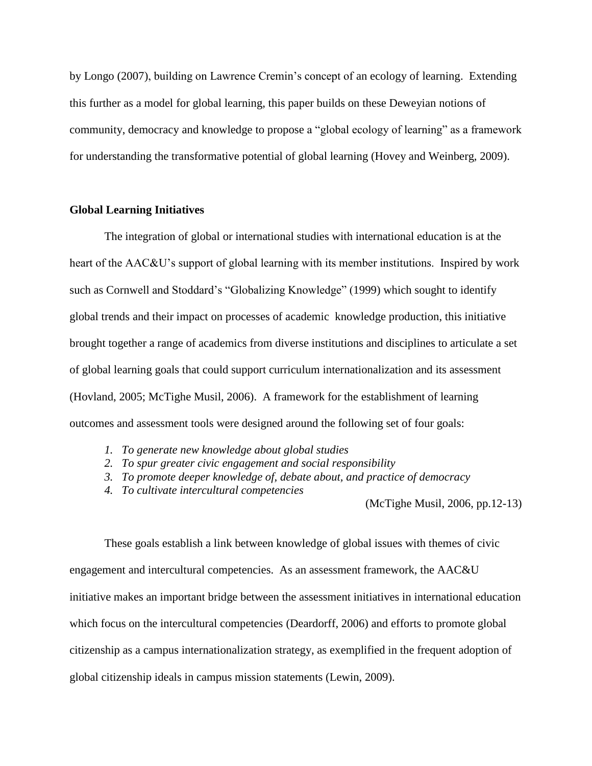by Longo (2007), building on Lawrence Cremin"s concept of an ecology of learning. Extending this further as a model for global learning, this paper builds on these Deweyian notions of community, democracy and knowledge to propose a "global ecology of learning" as a framework for understanding the transformative potential of global learning (Hovey and Weinberg, 2009).

### **Global Learning Initiatives**

The integration of global or international studies with international education is at the heart of the AAC&U's support of global learning with its member institutions. Inspired by work such as Cornwell and Stoddard"s "Globalizing Knowledge" (1999) which sought to identify global trends and their impact on processes of academic knowledge production, this initiative brought together a range of academics from diverse institutions and disciplines to articulate a set of global learning goals that could support curriculum internationalization and its assessment (Hovland, 2005; McTighe Musil, 2006). A framework for the establishment of learning outcomes and assessment tools were designed around the following set of four goals:

- *1. To generate new knowledge about global studies*
- *2. To spur greater civic engagement and social responsibility*
- *3. To promote deeper knowledge of, debate about, and practice of democracy*
- *4. To cultivate intercultural competencies*

(McTighe Musil, 2006, pp.12-13)

These goals establish a link between knowledge of global issues with themes of civic engagement and intercultural competencies. As an assessment framework, the AAC&U initiative makes an important bridge between the assessment initiatives in international education which focus on the intercultural competencies (Deardorff, 2006) and efforts to promote global citizenship as a campus internationalization strategy, as exemplified in the frequent adoption of global citizenship ideals in campus mission statements (Lewin, 2009).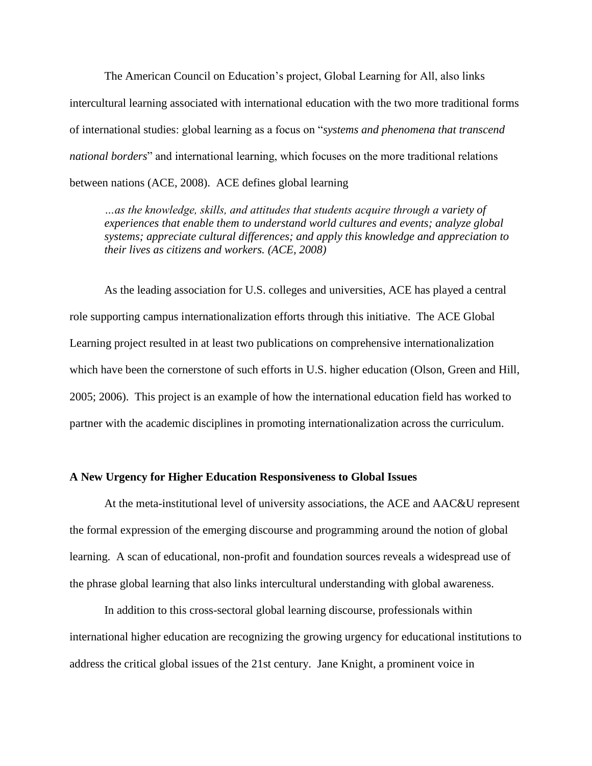The American Council on Education"s project, Global Learning for All, also links intercultural learning associated with international education with the two more traditional forms of international studies: global learning as a focus on "*systems and phenomena that transcend national borders*" and international learning, which focuses on the more traditional relations between nations (ACE, 2008). ACE defines global learning

*…as the knowledge, skills, and attitudes that students acquire through a variety of experiences that enable them to understand world cultures and events; analyze global systems; appreciate cultural differences; and apply this knowledge and appreciation to their lives as citizens and workers. (ACE, 2008)*

As the leading association for U.S. colleges and universities, ACE has played a central role supporting campus internationalization efforts through this initiative. The ACE Global Learning project resulted in at least two publications on comprehensive internationalization which have been the cornerstone of such efforts in U.S. higher education (Olson, Green and Hill, 2005; 2006). This project is an example of how the international education field has worked to partner with the academic disciplines in promoting internationalization across the curriculum.

## **A New Urgency for Higher Education Responsiveness to Global Issues**

At the meta-institutional level of university associations, the ACE and AAC&U represent the formal expression of the emerging discourse and programming around the notion of global learning. A scan of educational, non-profit and foundation sources reveals a widespread use of the phrase global learning that also links intercultural understanding with global awareness.

In addition to this cross-sectoral global learning discourse, professionals within international higher education are recognizing the growing urgency for educational institutions to address the critical global issues of the 21st century. Jane Knight, a prominent voice in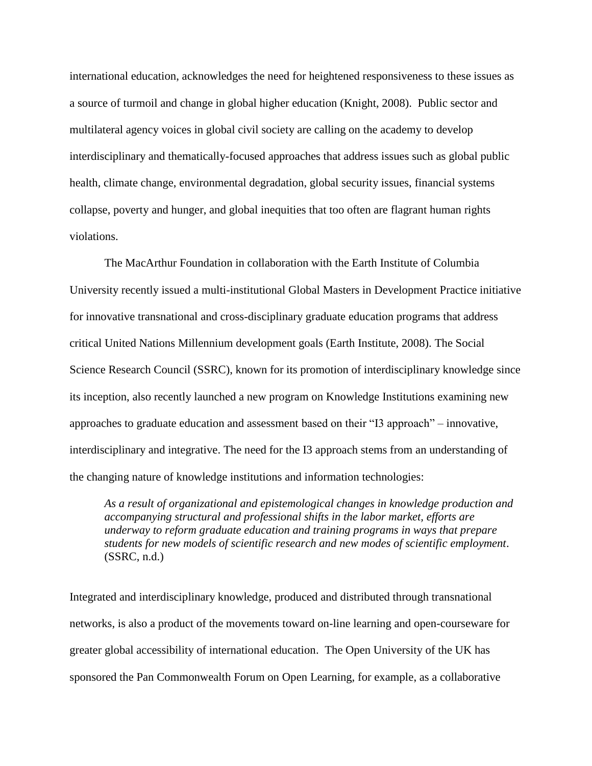international education, acknowledges the need for heightened responsiveness to these issues as a source of turmoil and change in global higher education (Knight, 2008). Public sector and multilateral agency voices in global civil society are calling on the academy to develop interdisciplinary and thematically-focused approaches that address issues such as global public health, climate change, environmental degradation, global security issues, financial systems collapse, poverty and hunger, and global inequities that too often are flagrant human rights violations.

The MacArthur Foundation in collaboration with the Earth Institute of Columbia University recently issued a multi-institutional Global Masters in Development Practice initiative for innovative transnational and cross-disciplinary graduate education programs that address critical United Nations Millennium development goals (Earth Institute, 2008). The Social Science Research Council (SSRC), known for its promotion of interdisciplinary knowledge since its inception, also recently launched a new program on Knowledge Institutions examining new approaches to graduate education and assessment based on their "I3 approach" – innovative, interdisciplinary and integrative. The need for the I3 approach stems from an understanding of the changing nature of knowledge institutions and information technologies:

*As a result of organizational and epistemological changes in knowledge production and accompanying structural and professional shifts in the labor market, efforts are underway to reform graduate education and training programs in ways that prepare students for new models of scientific research and new modes of scientific employment*. (SSRC, n.d.)

Integrated and interdisciplinary knowledge, produced and distributed through transnational networks, is also a product of the movements toward on-line learning and open-courseware for greater global accessibility of international education. The Open University of the UK has sponsored the Pan Commonwealth Forum on Open Learning, for example, as a collaborative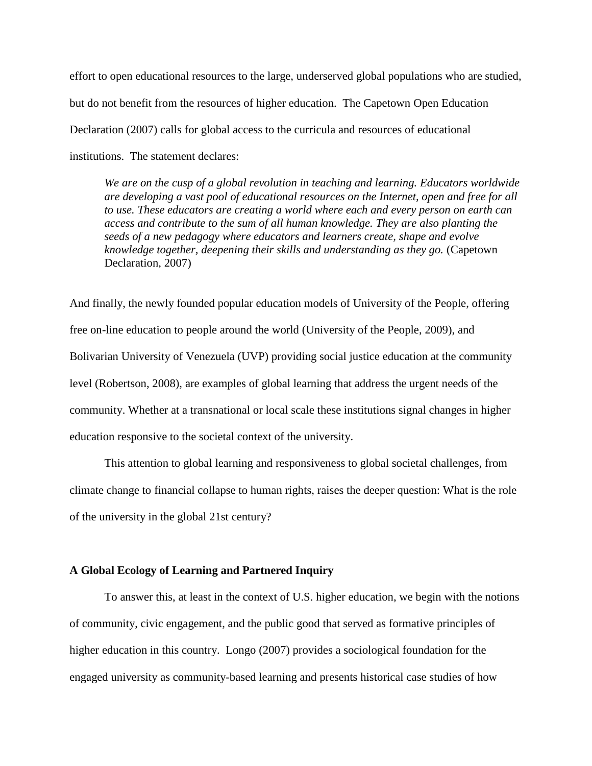effort to open educational resources to the large, underserved global populations who are studied, but do not benefit from the resources of higher education. The Capetown Open Education Declaration (2007) calls for global access to the curricula and resources of educational institutions. The statement declares:

*We are on the cusp of a global revolution in teaching and learning. Educators worldwide are developing a vast pool of educational resources on the Internet, open and free for all to use. These educators are creating a world where each and every person on earth can access and contribute to the sum of all human knowledge. They are also planting the seeds of a new pedagogy where educators and learners create, shape and evolve knowledge together, deepening their skills and understanding as they go.* (Capetown Declaration, 2007)

And finally, the newly founded popular education models of University of the People, offering free on-line education to people around the world (University of the People, 2009), and Bolivarian University of Venezuela (UVP) providing social justice education at the community level (Robertson, 2008), are examples of global learning that address the urgent needs of the community. Whether at a transnational or local scale these institutions signal changes in higher education responsive to the societal context of the university.

This attention to global learning and responsiveness to global societal challenges, from climate change to financial collapse to human rights, raises the deeper question: What is the role of the university in the global 21st century?

# **A Global Ecology of Learning and Partnered Inquiry**

To answer this, at least in the context of U.S. higher education, we begin with the notions of community, civic engagement, and the public good that served as formative principles of higher education in this country. Longo (2007) provides a sociological foundation for the engaged university as community-based learning and presents historical case studies of how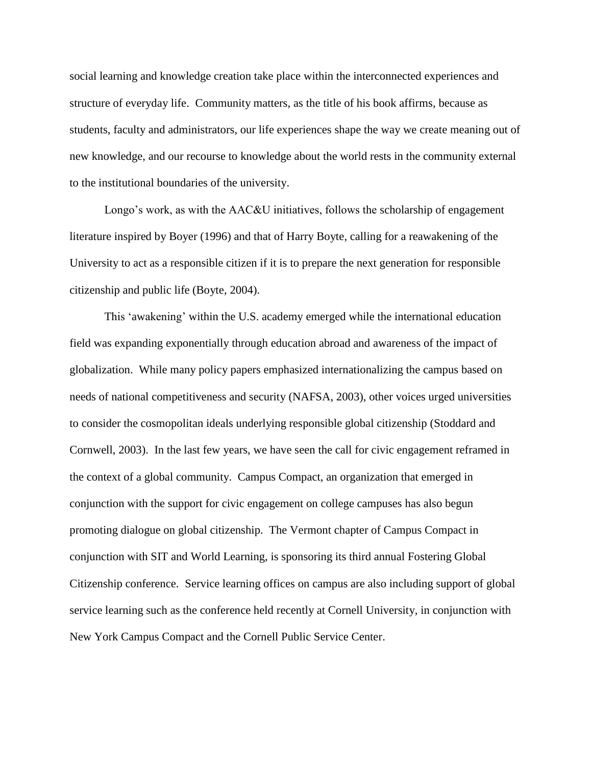social learning and knowledge creation take place within the interconnected experiences and structure of everyday life. Community matters, as the title of his book affirms, because as students, faculty and administrators, our life experiences shape the way we create meaning out of new knowledge, and our recourse to knowledge about the world rests in the community external to the institutional boundaries of the university.

Longo's work, as with the AAC&U initiatives, follows the scholarship of engagement literature inspired by Boyer (1996) and that of Harry Boyte, calling for a reawakening of the University to act as a responsible citizen if it is to prepare the next generation for responsible citizenship and public life (Boyte, 2004).

This "awakening" within the U.S. academy emerged while the international education field was expanding exponentially through education abroad and awareness of the impact of globalization. While many policy papers emphasized internationalizing the campus based on needs of national competitiveness and security (NAFSA, 2003), other voices urged universities to consider the cosmopolitan ideals underlying responsible global citizenship (Stoddard and Cornwell, 2003). In the last few years, we have seen the call for civic engagement reframed in the context of a global community. Campus Compact, an organization that emerged in conjunction with the support for civic engagement on college campuses has also begun promoting dialogue on global citizenship. The Vermont chapter of Campus Compact in conjunction with SIT and World Learning, is sponsoring its third annual Fostering Global Citizenship conference. Service learning offices on campus are also including support of global service learning such as the conference held recently at Cornell University, in conjunction with New York Campus Compact and the Cornell Public Service Center.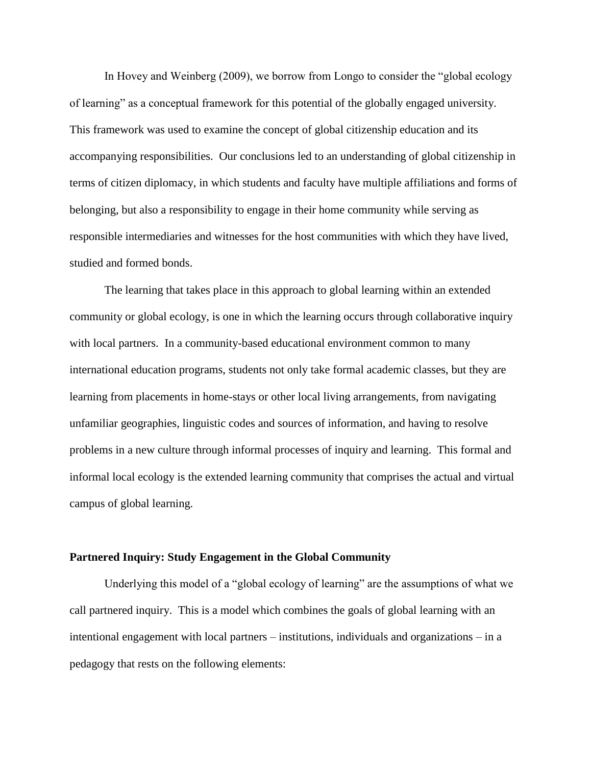In Hovey and Weinberg (2009), we borrow from Longo to consider the "global ecology of learning" as a conceptual framework for this potential of the globally engaged university. This framework was used to examine the concept of global citizenship education and its accompanying responsibilities. Our conclusions led to an understanding of global citizenship in terms of citizen diplomacy, in which students and faculty have multiple affiliations and forms of belonging, but also a responsibility to engage in their home community while serving as responsible intermediaries and witnesses for the host communities with which they have lived, studied and formed bonds.

The learning that takes place in this approach to global learning within an extended community or global ecology, is one in which the learning occurs through collaborative inquiry with local partners. In a community-based educational environment common to many international education programs, students not only take formal academic classes, but they are learning from placements in home-stays or other local living arrangements, from navigating unfamiliar geographies, linguistic codes and sources of information, and having to resolve problems in a new culture through informal processes of inquiry and learning. This formal and informal local ecology is the extended learning community that comprises the actual and virtual campus of global learning.

#### **Partnered Inquiry: Study Engagement in the Global Community**

Underlying this model of a "global ecology of learning" are the assumptions of what we call partnered inquiry. This is a model which combines the goals of global learning with an intentional engagement with local partners – institutions, individuals and organizations – in a pedagogy that rests on the following elements: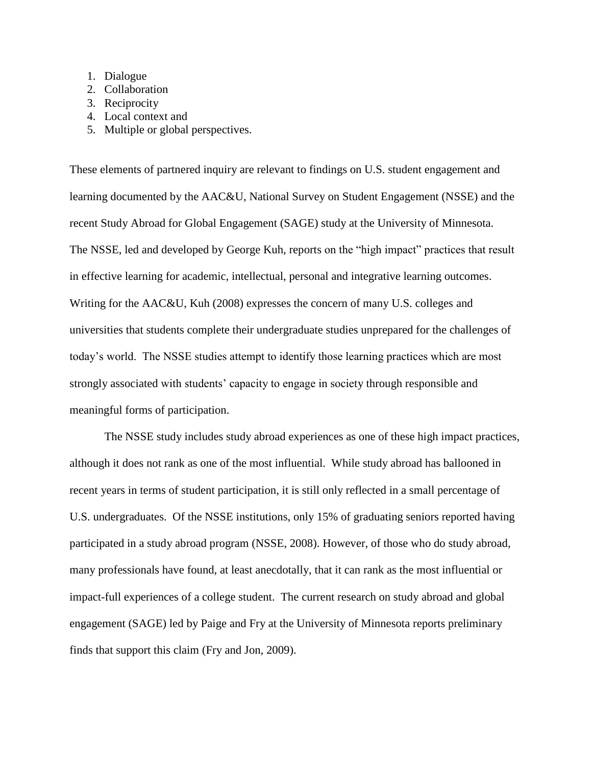- 1. Dialogue
- 2. Collaboration
- 3. Reciprocity
- 4. Local context and
- 5. Multiple or global perspectives.

These elements of partnered inquiry are relevant to findings on U.S. student engagement and learning documented by the AAC&U, National Survey on Student Engagement (NSSE) and the recent Study Abroad for Global Engagement (SAGE) study at the University of Minnesota. The NSSE, led and developed by George Kuh, reports on the "high impact" practices that result in effective learning for academic, intellectual, personal and integrative learning outcomes. Writing for the AAC&U, Kuh (2008) expresses the concern of many U.S. colleges and universities that students complete their undergraduate studies unprepared for the challenges of today"s world. The NSSE studies attempt to identify those learning practices which are most strongly associated with students" capacity to engage in society through responsible and meaningful forms of participation.

The NSSE study includes study abroad experiences as one of these high impact practices, although it does not rank as one of the most influential. While study abroad has ballooned in recent years in terms of student participation, it is still only reflected in a small percentage of U.S. undergraduates. Of the NSSE institutions, only 15% of graduating seniors reported having participated in a study abroad program (NSSE, 2008). However, of those who do study abroad, many professionals have found, at least anecdotally, that it can rank as the most influential or impact-full experiences of a college student. The current research on study abroad and global engagement (SAGE) led by Paige and Fry at the University of Minnesota reports preliminary finds that support this claim (Fry and Jon, 2009).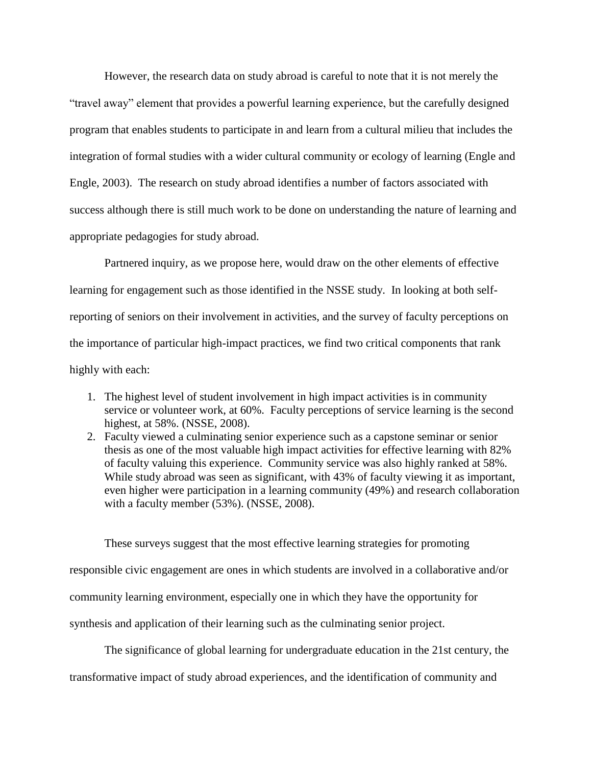However, the research data on study abroad is careful to note that it is not merely the "travel away" element that provides a powerful learning experience, but the carefully designed program that enables students to participate in and learn from a cultural milieu that includes the integration of formal studies with a wider cultural community or ecology of learning (Engle and Engle, 2003). The research on study abroad identifies a number of factors associated with success although there is still much work to be done on understanding the nature of learning and appropriate pedagogies for study abroad.

Partnered inquiry, as we propose here, would draw on the other elements of effective learning for engagement such as those identified in the NSSE study. In looking at both selfreporting of seniors on their involvement in activities, and the survey of faculty perceptions on the importance of particular high-impact practices, we find two critical components that rank highly with each:

- 1. The highest level of student involvement in high impact activities is in community service or volunteer work, at 60%. Faculty perceptions of service learning is the second highest, at 58%. (NSSE, 2008).
- 2. Faculty viewed a culminating senior experience such as a capstone seminar or senior thesis as one of the most valuable high impact activities for effective learning with 82% of faculty valuing this experience. Community service was also highly ranked at 58%. While study abroad was seen as significant, with 43% of faculty viewing it as important, even higher were participation in a learning community (49%) and research collaboration with a faculty member (53%). (NSSE, 2008).

These surveys suggest that the most effective learning strategies for promoting responsible civic engagement are ones in which students are involved in a collaborative and/or community learning environment, especially one in which they have the opportunity for synthesis and application of their learning such as the culminating senior project.

The significance of global learning for undergraduate education in the 21st century, the

transformative impact of study abroad experiences, and the identification of community and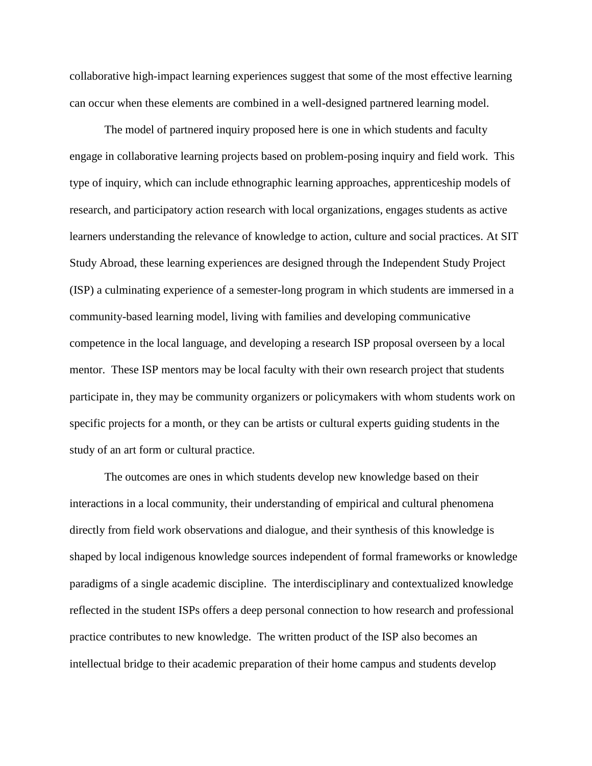collaborative high-impact learning experiences suggest that some of the most effective learning can occur when these elements are combined in a well-designed partnered learning model.

The model of partnered inquiry proposed here is one in which students and faculty engage in collaborative learning projects based on problem-posing inquiry and field work. This type of inquiry, which can include ethnographic learning approaches, apprenticeship models of research, and participatory action research with local organizations, engages students as active learners understanding the relevance of knowledge to action, culture and social practices. At SIT Study Abroad, these learning experiences are designed through the Independent Study Project (ISP) a culminating experience of a semester-long program in which students are immersed in a community-based learning model, living with families and developing communicative competence in the local language, and developing a research ISP proposal overseen by a local mentor. These ISP mentors may be local faculty with their own research project that students participate in, they may be community organizers or policymakers with whom students work on specific projects for a month, or they can be artists or cultural experts guiding students in the study of an art form or cultural practice.

The outcomes are ones in which students develop new knowledge based on their interactions in a local community, their understanding of empirical and cultural phenomena directly from field work observations and dialogue, and their synthesis of this knowledge is shaped by local indigenous knowledge sources independent of formal frameworks or knowledge paradigms of a single academic discipline. The interdisciplinary and contextualized knowledge reflected in the student ISPs offers a deep personal connection to how research and professional practice contributes to new knowledge. The written product of the ISP also becomes an intellectual bridge to their academic preparation of their home campus and students develop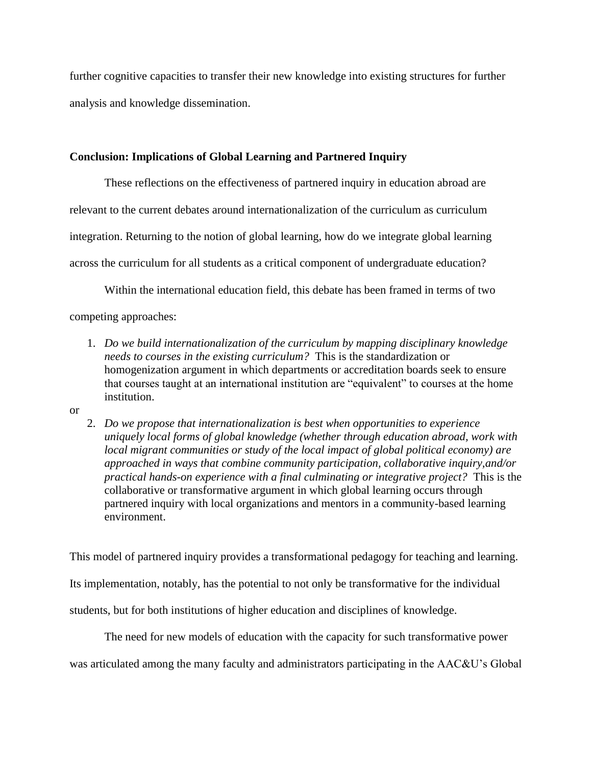further cognitive capacities to transfer their new knowledge into existing structures for further analysis and knowledge dissemination.

# **Conclusion: Implications of Global Learning and Partnered Inquiry**

These reflections on the effectiveness of partnered inquiry in education abroad are relevant to the current debates around internationalization of the curriculum as curriculum integration. Returning to the notion of global learning, how do we integrate global learning across the curriculum for all students as a critical component of undergraduate education?

Within the international education field, this debate has been framed in terms of two

competing approaches:

- 1. *Do we build internationalization of the curriculum by mapping disciplinary knowledge needs to courses in the existing curriculum?* This is the standardization or homogenization argument in which departments or accreditation boards seek to ensure that courses taught at an international institution are "equivalent" to courses at the home institution.
- or
- 2. *Do we propose that internationalization is best when opportunities to experience uniquely local forms of global knowledge (whether through education abroad, work with local migrant communities or study of the local impact of global political economy) are approached in ways that combine community participation, collaborative inquiry,and/or practical hands-on experience with a final culminating or integrative project?* This is the collaborative or transformative argument in which global learning occurs through partnered inquiry with local organizations and mentors in a community-based learning environment.

This model of partnered inquiry provides a transformational pedagogy for teaching and learning.

Its implementation, notably, has the potential to not only be transformative for the individual

students, but for both institutions of higher education and disciplines of knowledge.

The need for new models of education with the capacity for such transformative power was articulated among the many faculty and administrators participating in the AAC&U"s Global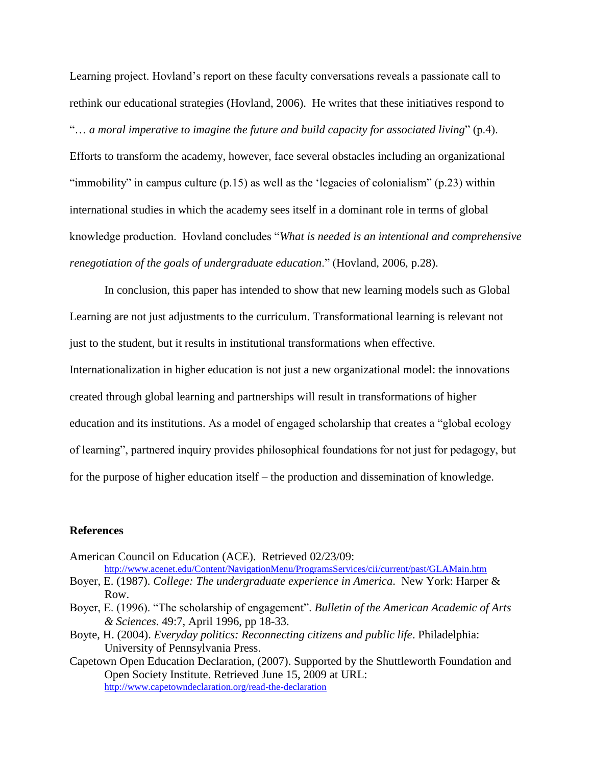Learning project. Hovland"s report on these faculty conversations reveals a passionate call to rethink our educational strategies (Hovland, 2006). He writes that these initiatives respond to "… *a moral imperative to imagine the future and build capacity for associated living*" (p.4).

Efforts to transform the academy, however, face several obstacles including an organizational "immobility" in campus culture  $(p.15)$  as well as the 'legacies of colonialism"  $(p.23)$  within international studies in which the academy sees itself in a dominant role in terms of global knowledge production. Hovland concludes "*What is needed is an intentional and comprehensive renegotiation of the goals of undergraduate education*." (Hovland, 2006, p.28).

In conclusion, this paper has intended to show that new learning models such as Global Learning are not just adjustments to the curriculum. Transformational learning is relevant not just to the student, but it results in institutional transformations when effective.

Internationalization in higher education is not just a new organizational model: the innovations created through global learning and partnerships will result in transformations of higher education and its institutions. As a model of engaged scholarship that creates a "global ecology of learning", partnered inquiry provides philosophical foundations for not just for pedagogy, but for the purpose of higher education itself – the production and dissemination of knowledge.

#### **References**

American Council on Education (ACE). Retrieved 02/23/09:

<http://www.acenet.edu/Content/NavigationMenu/ProgramsServices/cii/current/past/GLAMain.htm>

Boyer, E. (1987). *College: The undergraduate experience in America*. New York: Harper & Row.

- Boyer, E. (1996). "The scholarship of engagement". *Bulletin of the American Academic of Arts & Sciences*. 49:7, April 1996, pp 18-33.
- Boyte, H. (2004). *Everyday politics: Reconnecting citizens and public life*. Philadelphia: University of Pennsylvania Press.
- Capetown Open Education Declaration, (2007). Supported by the Shuttleworth Foundation and Open Society Institute. Retrieved June 15, 2009 at URL: <http://www.capetowndeclaration.org/read-the-declaration>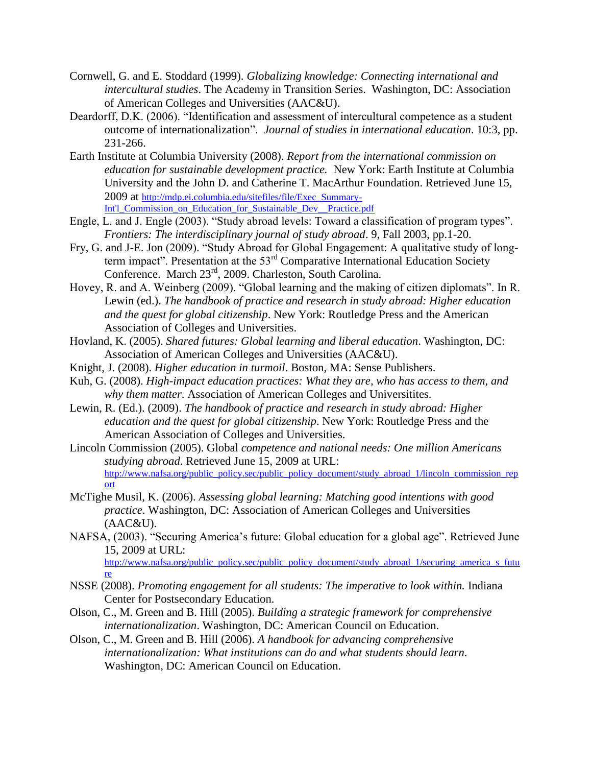- Cornwell, G. and E. Stoddard (1999). *Globalizing knowledge: Connecting international and intercultural studies*. The Academy in Transition Series. Washington, DC: Association of American Colleges and Universities (AAC&U).
- Deardorff, D.K. (2006). "Identification and assessment of intercultural competence as a student outcome of internationalization". *Journal of studies in international education*. 10:3, pp. 231-266.
- Earth Institute at Columbia University (2008). *Report from the international commission on education for sustainable development practice.* New York: Earth Institute at Columbia University and the John D. and Catherine T. MacArthur Foundation. Retrieved June 15, 2009 at [http://mdp.ei.columbia.edu/sitefiles/file/Exec\\_Summary-](http://mdp.ei.columbia.edu/sitefiles/file/Exec_Summary-Int)Int'l Commission\_on\_Education\_for\_Sustainable\_Dev\_\_Practice.pdf
- Engle, L. and J. Engle (2003). "Study abroad levels: Toward a classification of program types". *Frontiers: The interdisciplinary journal of study abroad*. 9, Fall 2003, pp.1-20.
- Fry, G. and J-E. Jon (2009). "Study Abroad for Global Engagement: A qualitative study of longterm impact". Presentation at the 53<sup>rd</sup> Comparative International Education Society Conference. March 23rd, 2009. Charleston, South Carolina.
- Hovey, R. and A. Weinberg (2009). "Global learning and the making of citizen diplomats". In R. Lewin (ed.). *The handbook of practice and research in study abroad: Higher education and the quest for global citizenship*. New York: Routledge Press and the American Association of Colleges and Universities.
- Hovland, K. (2005). *Shared futures: Global learning and liberal education*. Washington, DC: Association of American Colleges and Universities (AAC&U).
- Knight, J. (2008). *Higher education in turmoil*. Boston, MA: Sense Publishers.
- Kuh, G. (2008). *High-impact education practices: What they are, who has access to them, and why them matter*. Association of American Colleges and Universitites.
- Lewin, R. (Ed.). (2009). *The handbook of practice and research in study abroad: Higher education and the quest for global citizenship*. New York: Routledge Press and the American Association of Colleges and Universities.
- Lincoln Commission (2005). Global *competence and national needs: One million Americans studying abroad*. Retrieved June 15, 2009 at URL: [http://www.nafsa.org/public\\_policy.sec/public\\_policy\\_document/study\\_abroad\\_1/lincoln\\_commission\\_rep](http://www.nafsa.org/public_policy.sec/public_policy_document/study_abroad_1/lincoln_commission_report) [ort](http://www.nafsa.org/public_policy.sec/public_policy_document/study_abroad_1/lincoln_commission_report)
- McTighe Musil, K. (2006). *Assessing global learning: Matching good intentions with good practice*. Washington, DC: Association of American Colleges and Universities  $(AAC&U).$
- NAFSA, (2003). "Securing America's future: Global education for a global age". Retrieved June 15, 2009 at URL:

[http://www.nafsa.org/public\\_policy.sec/public\\_policy\\_document/study\\_abroad\\_1/securing\\_america\\_s\\_futu](http://www.nafsa.org/public_policy.sec/public_policy_document/study_abroad_1/securing_america_s_future) [re](http://www.nafsa.org/public_policy.sec/public_policy_document/study_abroad_1/securing_america_s_future)

- NSSE (2008). *Promoting engagement for all students: The imperative to look within.* Indiana Center for Postsecondary Education.
- Olson, C., M. Green and B. Hill (2005). *Building a strategic framework for comprehensive internationalization*. Washington, DC: American Council on Education.
- Olson, C., M. Green and B. Hill (2006). *A handbook for advancing comprehensive internationalization: What institutions can do and what students should learn*. Washington, DC: American Council on Education.